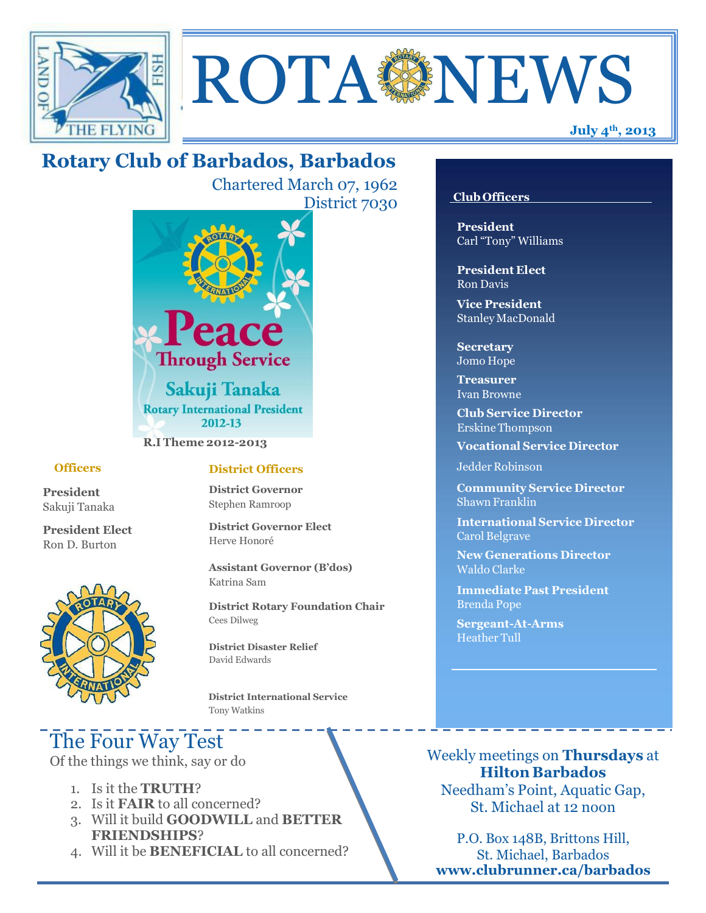



## **Rotary Club of Barbados, Barbados**

Chartered March 07, 1962 District 7030



**R.I Theme 2012-2013**

#### **Officers**

**President** Sakuji Tanaka

**President Elect** Ron D. Burton



#### **District Officers**

**District Governor** Stephen Ramroop

**District Governor Elect** Herve Honoré

**Assistant Governor (B'dos)** Katrina Sam

**District Rotary Foundation Chair** Cees Dilweg

**District Disaster Relief**  David Edwards

 **District International Service** Tony Watkins

# The Four Way Test

Of the things we think, say or do

- 1. Is it the **TRUTH**?
- 2. Is it **FAIR** to all concerned?
- 3. Will it build **GOODWILL** and **BETTER FRIENDSHIPS**?
- 4. Will it be **BENEFICIAL** to all concerned?

#### **Club Officers**

**President** Carl "Tony" Williams

**President Elect** Ron Davis

**Vice President** StanleyMacDonald

**Secretary** Jomo Hope

**Treasurer** Ivan Browne

**Club Service Director** Erskine Thompson

**Vocational Service Director**

Jedder Robinson

**Community Service Director** Shawn Franklin

**International Service Director** Carol Belgrave

**New Generations Director** Waldo Clarke

**Immediate Past President** Brenda Pope

**Sergeant-At-Arms** Heather Tull

Weekly meetings on **Thursdays** at **Hilton Barbados** Needham's Point, Aquatic Gap, St. Michael at 12 noon

P.O. Box 148B, Brittons Hill, St. Michael, Barbados **[www.clubrunner.ca/barbados](http://www.clubrunner.ca/barbados)**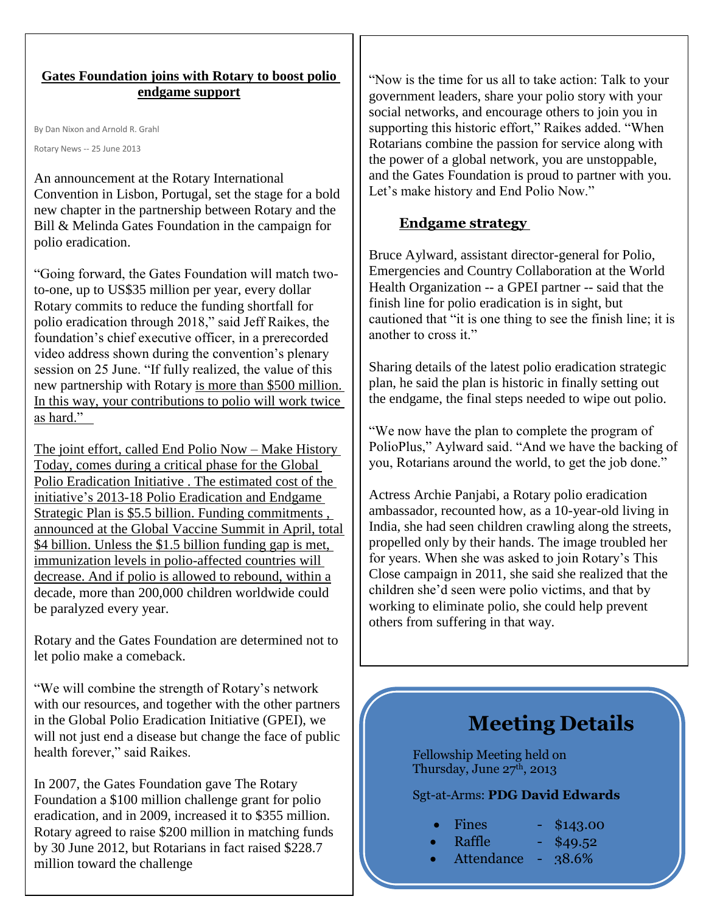### **Gates Foundation joins with Rotary to boost polio endgame support**

By Dan Nixon and Arnold R. Grahl

Rotary News -- 25 June 2013

An announcement at the Rotary International Convention in Lisbon, Portugal, set the stage for a bold new chapter in the partnership between Rotary and the Bill & Melinda Gates Foundation in the campaign for polio eradication.

"Going forward, the Gates Foundation will match twoto-one, up to US\$35 million per year, every dollar Rotary commits to reduce the funding shortfall for polio eradication through 2018," said Jeff Raikes, the foundation's chief executive officer, in a prerecorded video address shown during the convention's plenary session on 25 June. "If fully realized, the value of this new partnership with Rotary is more than \$500 million. In this way, your contributions to polio will work twice as hard."

The joint effort, called End Polio Now – Make History Today, comes during a critical phase for the [Global](http://www.polioeradication.org/)  [Polio Eradication Initiative .](http://www.polioeradication.org/) The estimated cost of the initiative's [2013-18 Polio Eradication and Endgame](http://www.polioeradication.org/Resourcelibrary/Strategyandwork.aspx)  [Strategic Plan i](http://www.polioeradication.org/Resourcelibrary/Strategyandwork.aspx)s \$5.5 billion. [Funding commitments ,](http://www.rotary.org/en/MediaAndNews/News/Pages/130425_news_summit.aspx) announced at the Global Vaccine Summit in April, total \$4 billion. Unless the \$1.5 billion funding gap is met, immunization levels in polio-affected countries will decrease. And if polio is allowed to rebound, within a decade, more than 200,000 children worldwide could be paralyzed every year.

Rotary and the Gates Foundation are determined not to let polio make a comeback.

"We will combine the strength of Rotary's network with our resources, and together with the other partners in the Global Polio Eradication Initiative (GPEI), we will not just end a disease but change the face of public health forever," said Raikes.

In 2007, the Gates Foundation gave The Rotary Foundation a \$100 million challenge grant for polio eradication, and in 2009, increased it to \$355 million. Rotary agreed to raise \$200 million in matching funds by 30 June 2012, but Rotarians in fact raised \$228.7 million toward the challenge

"Now is the time for us all to take action: Talk to your government leaders, share your polio story with your social networks, and encourage others to join you in supporting this historic effort," Raikes added. "When Rotarians combine the passion for service along with the power of a global network, you are unstoppable, and the Gates Foundation is proud to partner with you. Let's make history and End Polio Now."

## **Endgame strategy**

Bruce Aylward, assistant director-general for Polio, Emergencies and Country Collaboration at the World Health Organization -- a GPEI partner -- said that the finish line for polio eradication is in sight, but cautioned that "it is one thing to see the finish line; it is another to cross it."

Sharing details of the latest polio eradication strategic plan, he said the plan is historic in finally setting out the endgame, the final steps needed to wipe out polio.

"We now have the plan to complete the program of PolioPlus," Aylward said. "And we have the backing of you, Rotarians around the world, to get the job done."

Actress Archie Panjabi, a Rotary polio eradication ambassador, recounted how, as a 10-year-old living in India, she had seen children crawling along the streets, propelled only by their hands. The image troubled her for years. When she was asked to join Rotary's This Close campaign in 2011, she said she realized that the children she'd seen were polio victims, and that by working to eliminate polio, she could help prevent others from suffering in that way.

# **Meeting Details**

Fellowship Meeting held on Thursday, June  $27<sup>th</sup>$ , 2013

### Sgt-at-Arms: **PDG David Edwards**

| Fines |  |
|-------|--|
|       |  |
|       |  |

- $$143.00$
- Raffle \$49.52
- Attendance 38.6%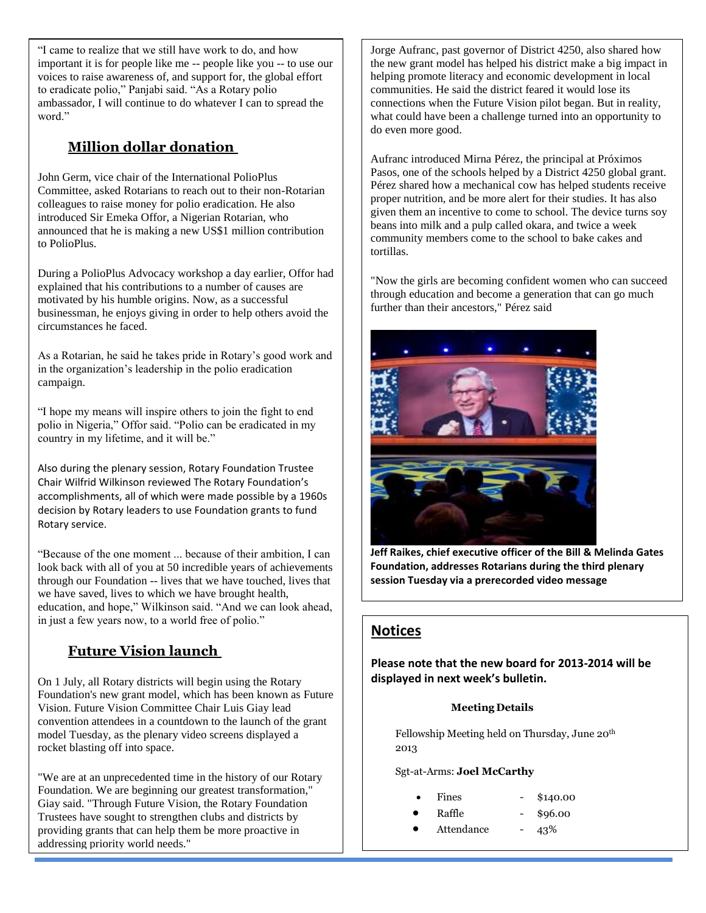ambassador, I will continue to do whatever I can to spread the "I came to realize that we still have work to do, and how important it is for people like me -- people like you -- to use our voices to raise awareness of, and support for, the global effort to eradicate polio," Panjabi said. "As a Rotary polio word."

## **Million dollar donation**

John Germ, vice chair of the International PolioPlus Committee, asked Rotarians to reach out to their non-Rotarian colleagues to raise money for polio eradication. He also introduced Sir Emeka Offor, a Nigerian Rotarian, who announced that he is making a new US\$1 million contribution to PolioPlus.

During a PolioPlus Advocacy workshop a day earlier, Offor had explained that his contributions to a number of causes are motivated by his humble origins. Now, as a successful businessman, he enjoys giving in order to help others avoid the circumstances he faced.

As a Rotarian, he said he takes pride in Rotary's good work and in the organization's leadership in the polio eradication campaign.

"I hope my means will inspire others to join the fight to end polio in Nigeria," Offor said. "Polio can be eradicated in my country in my lifetime, and it will be."

Also during the plenary session, Rotary Foundation Trustee Chair Wilfrid Wilkinson reviewed The Rotary Foundation's accomplishments, all of which were made possible by a 1960s decision by Rotary leaders to use Foundation grants to fund Rotary service.

"Because of the one moment ... because of their ambition, I can look back with all of you at 50 incredible years of achievements through our Foundation -- lives that we have touched, lives that we have saved, lives to which we have brought health, education, and hope," Wilkinson said. "And we can look ahead, in just a few years now, to a world free of polio."

## **Future Vision launch**

On 1 July, all Rotary districts will begin using the Rotary Foundation's new grant model, which has been known as Future Vision. Future Vision Committee Chair Luis Giay lead convention attendees in a countdown to the launch of the grant model Tuesday, as the plenary video screens displayed a rocket blasting off into space.

"We are at an unprecedented time in the history of our Rotary Foundation. We are beginning our greatest transformation," Giay said. "Through Future Vision, the Rotary Foundation Trustees have sought to strengthen clubs and districts by providing grants that can help them be more proactive in addressing priority world needs."

Jorge Aufranc, past governor of District 4250, also shared how the new grant model has helped his district make a big impact in helping promote literacy and economic development in local communities. He said the district feared it would lose its connections when the Future Vision pilot began. But in reality, what could have been a challenge turned into an opportunity to do even more good.

Aufranc introduced Mirna Pérez, the principal at Próximos Pasos, one of the schools helped by a District 4250 global grant. Pérez shared how a mechanical cow has helped students receive proper nutrition, and be more alert for their studies. It has also given them an incentive to come to school. The device turns soy beans into milk and a pulp called okara, and twice a week community members come to the school to bake cakes and tortillas.

"Now the girls are becoming confident women who can succeed through education and become a generation that can go much further than their ancestors," Pérez said



**Jeff Raikes, chief executive officer of the Bill & Melinda Gates Foundation, addresses Rotarians during the third plenary session Tuesday via a prerecorded video message**

## **Notices**

**Please note that the new board for 2013-2014 will be displayed in next week's bulletin.** 

#### **Meeting Details**

Fellowship Meeting held on Thursday, June 20th 2013

Sgt-at-Arms: **Joel McCarthy**

- Fines \$140.00
	- Raffle \$96.00
- Attendance 43%
-